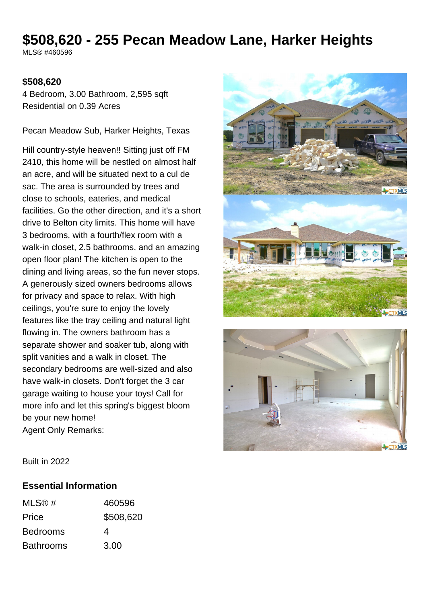# **\$508,620 - 255 Pecan Meadow Lane, Harker Heights**

MLS® #460596

#### **\$508,620**

4 Bedroom, 3.00 Bathroom, 2,595 sqft Residential on 0.39 Acres

Pecan Meadow Sub, Harker Heights, Texas

Hill country-style heaven!! Sitting just off FM 2410, this home will be nestled on almost half an acre, and will be situated next to a cul de sac. The area is surrounded by trees and close to schools, eateries, and medical facilities. Go the other direction, and it's a short drive to Belton city limits. This home will have 3 bedrooms, with a fourth/flex room with a walk-in closet, 2.5 bathrooms, and an amazing open floor plan! The kitchen is open to the dining and living areas, so the fun never stops. A generously sized owners bedrooms allows for privacy and space to relax. With high ceilings, you're sure to enjoy the lovely features like the tray ceiling and natural light flowing in. The owners bathroom has a separate shower and soaker tub, along with split vanities and a walk in closet. The secondary bedrooms are well-sized and also have walk-in closets. Don't forget the 3 car garage waiting to house your toys! Call for more info and let this spring's biggest bloom be your new home! Agent Only Remarks:





Built in 2022

#### **Essential Information**

| MLSR#            | 460596    |
|------------------|-----------|
| Price            | \$508,620 |
| <b>Bedrooms</b>  | 4         |
| <b>Bathrooms</b> | 3.00      |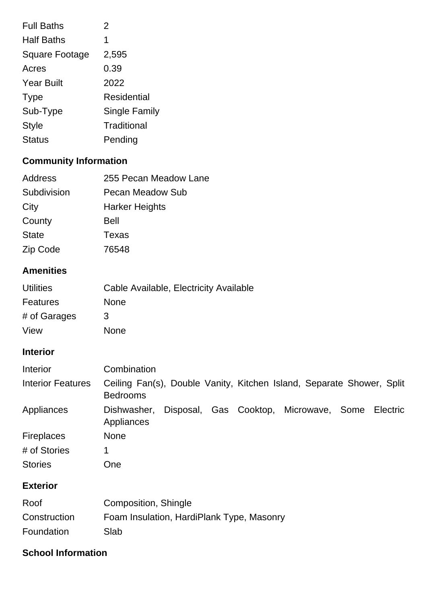| <b>Full Baths</b>     | 2                    |
|-----------------------|----------------------|
| <b>Half Baths</b>     | 1                    |
| <b>Square Footage</b> | 2,595                |
| Acres                 | 0.39                 |
| <b>Year Built</b>     | 2022                 |
| <b>Type</b>           | Residential          |
| Sub-Type              | <b>Single Family</b> |
| <b>Style</b>          | Traditional          |
| Status                | Pending              |

# **Community Information**

| Address      | 255 Pecan Meadow Lane |
|--------------|-----------------------|
| Subdivision  | Pecan Meadow Sub      |
| City         | <b>Harker Heights</b> |
| County       | Bell                  |
| <b>State</b> | Texas                 |
| Zip Code     | 76548                 |

## **Amenities**

| <b>Utilities</b> | Cable Available, Electricity Available |
|------------------|----------------------------------------|
| Features         | <b>None</b>                            |
| # of Garages     | 3                                      |
| View             | <b>None</b>                            |

## **Interior**

| Interior                 | Combination                                                                              |
|--------------------------|------------------------------------------------------------------------------------------|
| <b>Interior Features</b> | Ceiling Fan(s), Double Vanity, Kitchen Island, Separate Shower, Split<br><b>Bedrooms</b> |
| Appliances               | Disposal, Gas Cooktop, Microwave, Some<br>Electric<br>Dishwasher.<br>Appliances          |
| <b>Fireplaces</b>        | <b>None</b>                                                                              |
| # of Stories             | 1                                                                                        |
| <b>Stories</b>           | <b>One</b>                                                                               |

# **Exterior**

| Roof         | Composition, Shingle                      |
|--------------|-------------------------------------------|
| Construction | Foam Insulation, HardiPlank Type, Masonry |
| Foundation   | Slab                                      |

### **School Information**